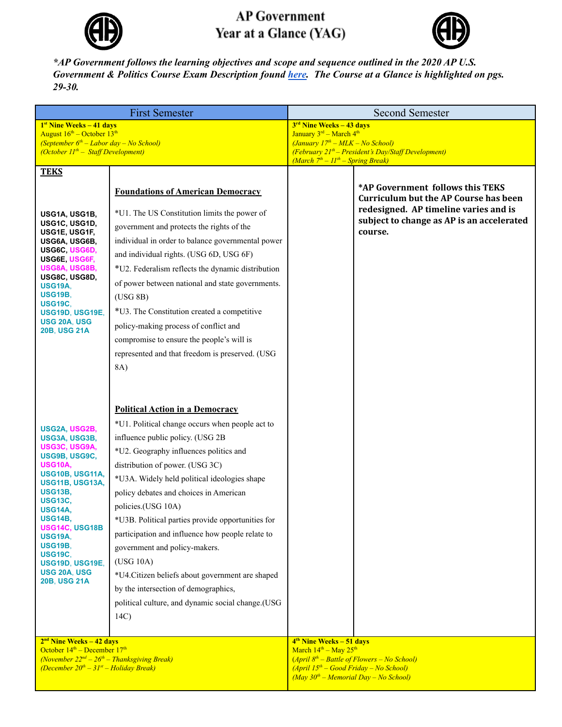

## **AP Government** Year at a Glance (YAG)



*\*AP Government follows the learning objectives and scope and sequence outlined in the 2020 AP U.S. Government & Politics Course Exam Description found [here.](https://apcentral.collegeboard.org/pdf/ap-us-government-and-politics-course-and-exam-description.pdf?course=ap-united-states-government-and-politics) The Course at a Glance is highlighted on pgs. 29-30.*

| <b>First Semester</b>                                                                                                                                                                                                                                                                                                              |                                                                                                                                                                                                                                                                                                                                                                                                                                                                                                                                                                                                                                           | <b>Second Semester</b>                                                                                                                                                                                                        |                                                                                                                                                                                   |  |
|------------------------------------------------------------------------------------------------------------------------------------------------------------------------------------------------------------------------------------------------------------------------------------------------------------------------------------|-------------------------------------------------------------------------------------------------------------------------------------------------------------------------------------------------------------------------------------------------------------------------------------------------------------------------------------------------------------------------------------------------------------------------------------------------------------------------------------------------------------------------------------------------------------------------------------------------------------------------------------------|-------------------------------------------------------------------------------------------------------------------------------------------------------------------------------------------------------------------------------|-----------------------------------------------------------------------------------------------------------------------------------------------------------------------------------|--|
| <sup>1st</sup> Nine Weeks – 41 days<br>August $16^{\text{th}}$ – October $13^{\text{th}}$<br>(September $6th$ – Labor day – No School)<br>(October $II^{th}$ – Staff Development)                                                                                                                                                  |                                                                                                                                                                                                                                                                                                                                                                                                                                                                                                                                                                                                                                           | 3 <sup>rd</sup> Nine Weeks – 43 days<br>January 3rd - March 4th<br>$(January 17th - MLK - No School)$<br>$(February 21th - President's Day/Staff Development)$<br>(March $7th - 11th - Spring Break$ )                        |                                                                                                                                                                                   |  |
| <b>TEKS</b>                                                                                                                                                                                                                                                                                                                        |                                                                                                                                                                                                                                                                                                                                                                                                                                                                                                                                                                                                                                           |                                                                                                                                                                                                                               |                                                                                                                                                                                   |  |
| USG1A, USG1B,<br>USG1C, USG1D,<br>USG1E, USG1F,<br>USG6A, USG6B,<br>USG6C USG6D,<br>USG6E USG6F,<br>USG8A, USG8B,<br>USG8C, USG8D,<br>USG19A,<br><b>USG19B.</b><br><b>USG19C.</b><br>USG19D, USG19E,<br><b>USG 20A, USG</b><br><b>20B, USG 21A</b>                                                                                 | <b>Foundations of American Democracy</b><br>*U1. The US Constitution limits the power of<br>government and protects the rights of the<br>individual in order to balance governmental power<br>and individual rights. (USG 6D, USG 6F)<br>*U2. Federalism reflects the dynamic distribution<br>of power between national and state governments.<br>(USG 8B)<br>*U3. The Constitution created a competitive<br>policy-making process of conflict and<br>compromise to ensure the people's will is<br>represented and that freedom is preserved. (USG<br>8A)                                                                                 |                                                                                                                                                                                                                               | *AP Government follows this TEKS<br><b>Curriculum but the AP Course has been</b><br>redesigned. AP timeline varies and is<br>subject to change as AP is an accelerated<br>course. |  |
| USG2A, USG2B,<br>USG3A, USG3B,<br>USG3C, USG9A,<br>USG9B, USG9C,<br><b>USG10A,</b><br>USG10B, USG11A,<br>USG11B, USG13A,<br><b>USG13B,</b><br><b>USG13C,</b><br><b>USG14A.</b><br>USG14B,<br>USG14C, USG18B<br><b>USG19A,</b><br><b>USG19B.</b><br><b>USG19C,</b><br>USG19D, USG19E,<br><b>USG 20A, USG</b><br><b>20B, USG 21A</b> | <b>Political Action in a Democracy</b><br>*U1. Political change occurs when people act to<br>influence public policy. (USG 2B<br>*U2. Geography influences politics and<br>distribution of power. (USG 3C)<br>*U3A. Widely held political ideologies shape<br>policy debates and choices in American<br>policies.(USG 10A)<br>*U3B. Political parties provide opportunities for<br>participation and influence how people relate to<br>government and policy-makers.<br>(USG 10A)<br>*U4.Citizen beliefs about government are shaped<br>by the intersection of demographics,<br>political culture, and dynamic social change.(USG<br>14C) |                                                                                                                                                                                                                               |                                                                                                                                                                                   |  |
| $2nd$ Nine Weeks – 42 days<br>October $14th$ – December $17th$<br>(November $22^{nd} - 26^{th} - Thanksgiving Break$ )<br>(December $20^{th} - 31^{st} -$ Holiday Break)                                                                                                                                                           |                                                                                                                                                                                                                                                                                                                                                                                                                                                                                                                                                                                                                                           | 4 <sup>th</sup> Nine Weeks - 51 days<br>March 14 <sup>th</sup> - May 25 <sup>th</sup><br>$(April 8th - Battle of Flowers - No School)$<br>$(April 15th - Good Friday - No School)$<br>$(May 30th - Memorial Day - No School)$ |                                                                                                                                                                                   |  |